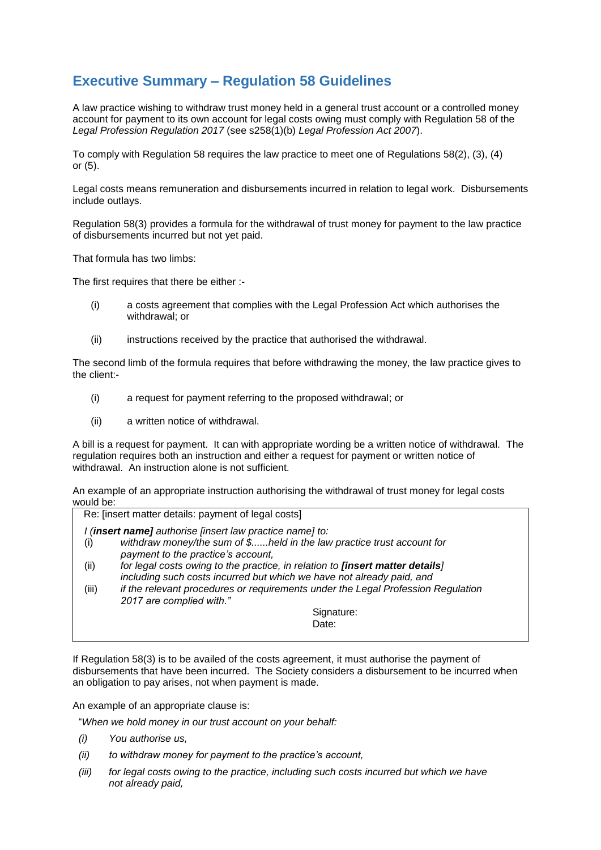## **Executive Summary – Regulation 58 Guidelines**

A law practice wishing to withdraw trust money held in a general trust account or a controlled money account for payment to its own account for legal costs owing must comply with Regulation 58 of the *Legal Profession Regulation 2017* (see s258(1)(b) *Legal Profession Act 2007*).

To comply with Regulation 58 requires the law practice to meet one of Regulations 58(2), (3), (4) or (5).

Legal costs means remuneration and disbursements incurred in relation to legal work. Disbursements include outlays.

Regulation 58(3) provides a formula for the withdrawal of trust money for payment to the law practice of disbursements incurred but not yet paid.

That formula has two limbs:

The first requires that there be either :-

- (i) a costs agreement that complies with the Legal Profession Act which authorises the withdrawal; or
- (ii) instructions received by the practice that authorised the withdrawal.

The second limb of the formula requires that before withdrawing the money, the law practice gives to the client:-

- (i) a request for payment referring to the proposed withdrawal; or
- (ii) a written notice of withdrawal.

A bill is a request for payment. It can with appropriate wording be a written notice of withdrawal. The regulation requires both an instruction and either a request for payment or written notice of withdrawal. An instruction alone is not sufficient.

An example of an appropriate instruction authorising the withdrawal of trust money for legal costs would be:

|                                                          | Re: [insert matter details: payment of legal costs]                              |
|----------------------------------------------------------|----------------------------------------------------------------------------------|
| I (insert name] authorise [insert law practice name] to: |                                                                                  |
| (i)                                                      | withdraw money/the sum of \$held in the law practice trust account for           |
|                                                          | payment to the practice's account,                                               |
| (ii)                                                     | for legal costs owing to the practice, in relation to [insert matter details]    |
|                                                          | including such costs incurred but which we have not already paid, and            |
| (iii)                                                    | if the relevant procedures or requirements under the Legal Profession Regulation |
|                                                          | 2017 are complied with."                                                         |
|                                                          | Signature:                                                                       |
|                                                          | Date:                                                                            |
|                                                          |                                                                                  |

If Regulation 58(3) is to be availed of the costs agreement, it must authorise the payment of disbursements that have been incurred. The Society considers a disbursement to be incurred when an obligation to pay arises, not when payment is made.

An example of an appropriate clause is:

"*When we hold money in our trust account on your behalf:*

- *(i) You authorise us,*
- *(ii) to withdraw money for payment to the practice's account,*
- *(iii) for legal costs owing to the practice, including such costs incurred but which we have not already paid,*